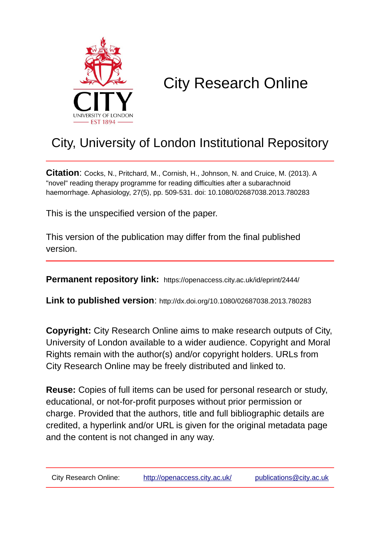

# City Research Online

## City, University of London Institutional Repository

**Citation**: Cocks, N., Pritchard, M., Cornish, H., Johnson, N. and Cruice, M. (2013). A "novel" reading therapy programme for reading difficulties after a subarachnoid haemorrhage. Aphasiology, 27(5), pp. 509-531. doi: 10.1080/02687038.2013.780283

This is the unspecified version of the paper.

This version of the publication may differ from the final published version.

**Permanent repository link:** https://openaccess.city.ac.uk/id/eprint/2444/

**Link to published version**: http://dx.doi.org/10.1080/02687038.2013.780283

**Copyright:** City Research Online aims to make research outputs of City, University of London available to a wider audience. Copyright and Moral Rights remain with the author(s) and/or copyright holders. URLs from City Research Online may be freely distributed and linked to.

**Reuse:** Copies of full items can be used for personal research or study, educational, or not-for-profit purposes without prior permission or charge. Provided that the authors, title and full bibliographic details are credited, a hyperlink and/or URL is given for the original metadata page and the content is not changed in any way.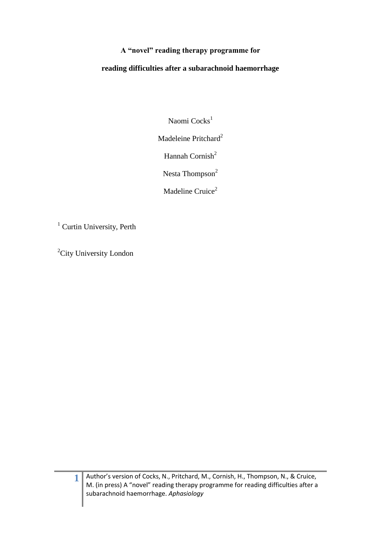## **A "novel" reading therapy programme for**

## **reading difficulties after a subarachnoid haemorrhage**

Naomi Cocks<sup>1</sup>

Madeleine Pritchard<sup>2</sup>

Hannah Cornish $2$ 

Nesta Thompson<sup>2</sup>

Madeline Cruice<sup>2</sup>

<sup>1</sup> Curtin University, Perth

<sup>2</sup>City University London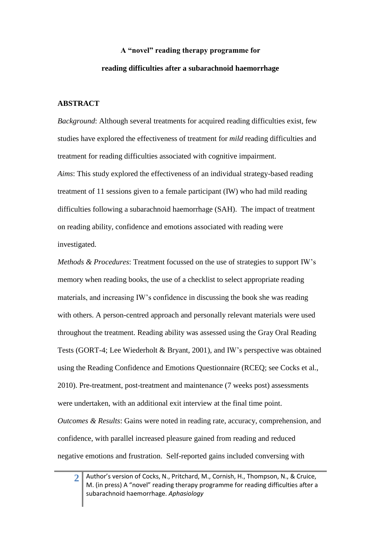## **A "novel" reading therapy programme for reading difficulties after a subarachnoid haemorrhage**

## **ABSTRACT**

**2**

*Background*: Although several treatments for acquired reading difficulties exist, few studies have explored the effectiveness of treatment for *mild* reading difficulties and treatment for reading difficulties associated with cognitive impairment. *Aims*: This study explored the effectiveness of an individual strategy-based reading treatment of 11 sessions given to a female participant (IW) who had mild reading difficulties following a subarachnoid haemorrhage (SAH). The impact of treatment on reading ability, confidence and emotions associated with reading were investigated.

*Methods & Procedures*: Treatment focussed on the use of strategies to support IW's memory when reading books, the use of a checklist to select appropriate reading materials, and increasing IW's confidence in discussing the book she was reading with others. A person-centred approach and personally relevant materials were used throughout the treatment. Reading ability was assessed using the Gray Oral Reading Tests [\(GORT-4; Lee Wiederholt & Bryant, 2001\)](#page-38-0), and IW's perspective was obtained using the Reading Confidence and Emotions Questionnaire [\(RCEQ; see Cocks et al.,](#page-37-0)  [2010\)](#page-37-0). Pre-treatment, post-treatment and maintenance (7 weeks post) assessments were undertaken, with an additional exit interview at the final time point. *Outcomes & Results*: Gains were noted in reading rate, accuracy, comprehension, and confidence, with parallel increased pleasure gained from reading and reduced negative emotions and frustration. Self-reported gains included conversing with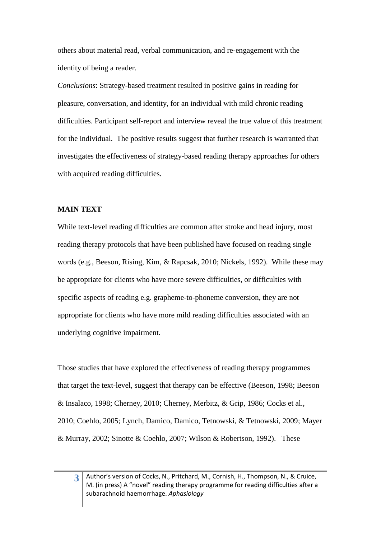others about material read, verbal communication, and re-engagement with the identity of being a reader.

*Conclusions*: Strategy-based treatment resulted in positive gains in reading for pleasure, conversation, and identity, for an individual with mild chronic reading difficulties. Participant self-report and interview reveal the true value of this treatment for the individual. The positive results suggest that further research is warranted that investigates the effectiveness of strategy-based reading therapy approaches for others with acquired reading difficulties.

#### **MAIN TEXT**

While text-level reading difficulties are common after stroke and head injury, most reading therapy protocols that have been published have focused on reading single words (e.g., [Beeson, Rising, Kim, & Rapcsak, 2010;](#page-37-1) [Nickels, 1992\)](#page-38-1). While these may be appropriate for clients who have more severe difficulties, or difficulties with specific aspects of reading e.g. grapheme-to-phoneme conversion, they are not appropriate for clients who have more mild reading difficulties associated with an underlying cognitive impairment.

Those studies that have explored the effectiveness of reading therapy programmes that target the text-level, suggest that therapy can be effective [\(Beeson, 1998;](#page-36-0) [Beeson](#page-37-2)  [& Insalaco, 1998;](#page-37-2) [Cherney, 2010;](#page-37-3) [Cherney, Merbitz, & Grip, 1986;](#page-37-4) [Cocks et al.,](#page-37-0)  [2010;](#page-37-0) [Coehlo, 2005;](#page-37-5) [Lynch, Damico, Damico, Tetnowski, & Tetnowski, 2009;](#page-38-2) [Mayer](#page-38-3)  [& Murray, 2002;](#page-38-3) [Sinotte & Coehlo, 2007;](#page-38-4) [Wilson & Robertson, 1992\)](#page-38-5). These

**3**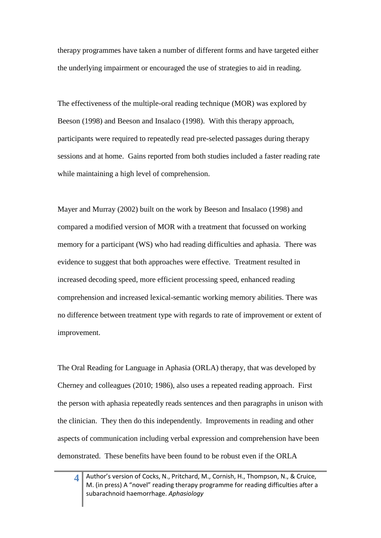therapy programmes have taken a number of different forms and have targeted either the underlying impairment or encouraged the use of strategies to aid in reading.

The effectiveness of the multiple-oral reading technique (MOR) was explored by Beeson [\(1998\)](#page-36-0) and Beeson and Insalaco [\(1998\)](#page-37-2). With this therapy approach, participants were required to repeatedly read pre-selected passages during therapy sessions and at home. Gains reported from both studies included a faster reading rate while maintaining a high level of comprehension.

Mayer and Murray [\(2002\)](#page-38-3) built on the work by Beeson and Insalaco (1998) and compared a modified version of MOR with a treatment that focussed on working memory for a participant (WS) who had reading difficulties and aphasia. There was evidence to suggest that both approaches were effective. Treatment resulted in increased decoding speed, more efficient processing speed, enhanced reading comprehension and increased lexical-semantic working memory abilities. There was no difference between treatment type with regards to rate of improvement or extent of improvement.

The Oral Reading for Language in Aphasia (ORLA) therapy, that was developed by Cherney and colleagues [\(2010;](#page-37-3) [1986\)](#page-37-4), also uses a repeated reading approach. First the person with aphasia repeatedly reads sentences and then paragraphs in unison with the clinician. They then do this independently. Improvements in reading and other aspects of communication including verbal expression and comprehension have been demonstrated. These benefits have been found to be robust even if the ORLA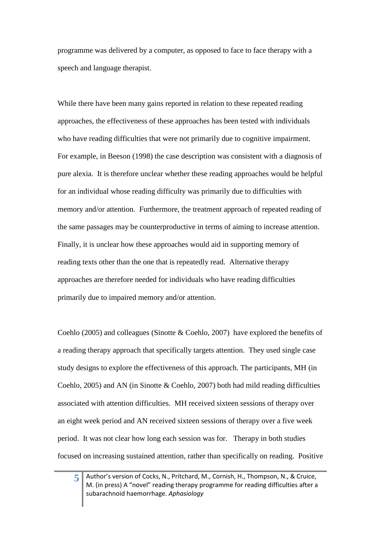programme was delivered by a computer, as opposed to face to face therapy with a speech and language therapist.

While there have been many gains reported in relation to these repeated reading approaches, the effectiveness of these approaches has been tested with individuals who have reading difficulties that were not primarily due to cognitive impairment. For example, in Beeson (1998) the case description was consistent with a diagnosis of pure alexia. It is therefore unclear whether these reading approaches would be helpful for an individual whose reading difficulty was primarily due to difficulties with memory and/or attention. Furthermore, the treatment approach of repeated reading of the same passages may be counterproductive in terms of aiming to increase attention. Finally, it is unclear how these approaches would aid in supporting memory of reading texts other than the one that is repeatedly read. Alternative therapy approaches are therefore needed for individuals who have reading difficulties primarily due to impaired memory and/or attention.

Coehlo [\(2005\)](#page-37-5) and colleagues [\(Sinotte & Coehlo, 2007\)](#page-38-4) have explored the benefits of a reading therapy approach that specifically targets attention. They used single case study designs to explore the effectiveness of this approach. The participants, MH [\(in](#page-37-5)  [Coehlo, 2005\)](#page-37-5) and AN [\(in Sinotte & Coehlo, 2007\)](#page-38-4) both had mild reading difficulties associated with attention difficulties. MH received sixteen sessions of therapy over an eight week period and AN received sixteen sessions of therapy over a five week period. It was not clear how long each session was for. Therapy in both studies focused on increasing sustained attention, rather than specifically on reading. Positive

Author's version of Cocks, N., Pritchard, M., Cornish, H., Thompson, N., & Cruice, M. (in press) A "novel" reading therapy programme for reading difficulties after a subarachnoid haemorrhage. *Aphasiology*

**5**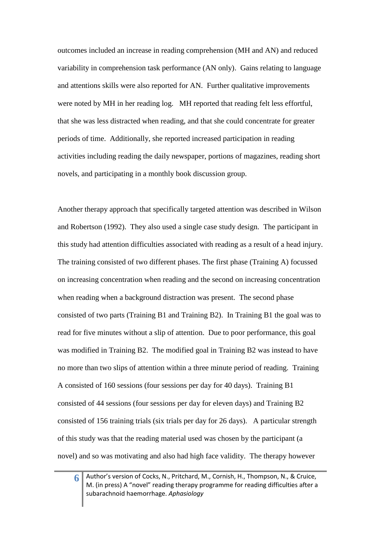outcomes included an increase in reading comprehension (MH and AN) and reduced variability in comprehension task performance (AN only). Gains relating to language and attentions skills were also reported for AN. Further qualitative improvements were noted by MH in her reading log. MH reported that reading felt less effortful, that she was less distracted when reading, and that she could concentrate for greater periods of time. Additionally, she reported increased participation in reading activities including reading the daily newspaper, portions of magazines, reading short novels, and participating in a monthly book discussion group.

Another therapy approach that specifically targeted attention was described in Wilson and Robertson [\(1992\)](#page-38-5). They also used a single case study design. The participant in this study had attention difficulties associated with reading as a result of a head injury. The training consisted of two different phases. The first phase (Training A) focussed on increasing concentration when reading and the second on increasing concentration when reading when a background distraction was present. The second phase consisted of two parts (Training B1 and Training B2). In Training B1 the goal was to read for five minutes without a slip of attention. Due to poor performance, this goal was modified in Training B2. The modified goal in Training B2 was instead to have no more than two slips of attention within a three minute period of reading. Training A consisted of 160 sessions (four sessions per day for 40 days). Training B1 consisted of 44 sessions (four sessions per day for eleven days) and Training B2 consisted of 156 training trials (six trials per day for 26 days). A particular strength of this study was that the reading material used was chosen by the participant (a novel) and so was motivating and also had high face validity. The therapy however

**6**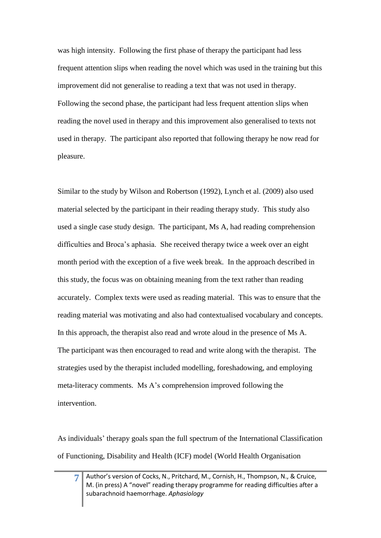was high intensity. Following the first phase of therapy the participant had less frequent attention slips when reading the novel which was used in the training but this improvement did not generalise to reading a text that was not used in therapy. Following the second phase, the participant had less frequent attention slips when reading the novel used in therapy and this improvement also generalised to texts not used in therapy. The participant also reported that following therapy he now read for pleasure.

Similar to the study by Wilson and Robertson [\(1992\)](#page-38-5), Lynch et al. [\(2009\)](#page-38-2) also used material selected by the participant in their reading therapy study. This study also used a single case study design. The participant, Ms A, had reading comprehension difficulties and Broca's aphasia. She received therapy twice a week over an eight month period with the exception of a five week break. In the approach described in this study, the focus was on obtaining meaning from the text rather than reading accurately. Complex texts were used as reading material. This was to ensure that the reading material was motivating and also had contextualised vocabulary and concepts. In this approach, the therapist also read and wrote aloud in the presence of Ms A. The participant was then encouraged to read and write along with the therapist. The strategies used by the therapist included modelling, foreshadowing, and employing meta-literacy comments. Ms A's comprehension improved following the intervention.

As individuals' therapy goals span the full spectrum of the International Classification of Functioning, Disability and Health (ICF) model [\(World Health Organisation](#page-38-6) 

**7**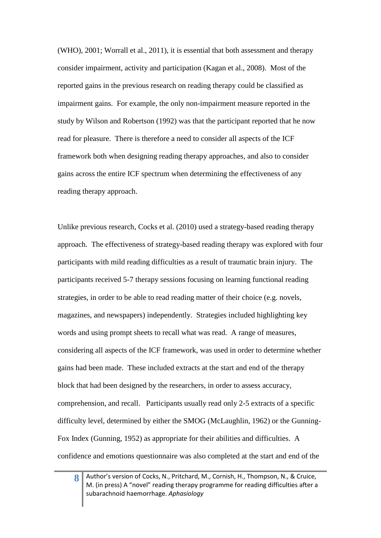(WHO), 2001; [Worrall et al., 2011\)](#page-38-7), it is essential that both assessment and therapy consider impairment, activity and participation [\(Kagan et al., 2008\)](#page-37-6). Most of the reported gains in the previous research on reading therapy could be classified as impairment gains. For example, the only non-impairment measure reported in the study by Wilson and Robertson (1992) was that the participant reported that he now read for pleasure. There is therefore a need to consider all aspects of the ICF framework both when designing reading therapy approaches, and also to consider gains across the entire ICF spectrum when determining the effectiveness of any reading therapy approach.

Unlike previous research, Cocks et al. [\(2010\)](#page-37-0) used a strategy-based reading therapy approach. The effectiveness of strategy-based reading therapy was explored with four participants with mild reading difficulties as a result of traumatic brain injury. The participants received 5-7 therapy sessions focusing on learning functional reading strategies, in order to be able to read reading matter of their choice (e.g. novels, magazines, and newspapers) independently. Strategies included highlighting key words and using prompt sheets to recall what was read. A range of measures, considering all aspects of the ICF framework, was used in order to determine whether gains had been made. These included extracts at the start and end of the therapy block that had been designed by the researchers, in order to assess accuracy, comprehension, and recall. Participants usually read only 2-5 extracts of a specific difficulty level, determined by either the SMOG [\(McLaughlin, 1962\)](#page-38-8) or the Gunning-Fox Index [\(Gunning, 1952\)](#page-37-7) as appropriate for their abilities and difficulties. A confidence and emotions questionnaire was also completed at the start and end of the

**8**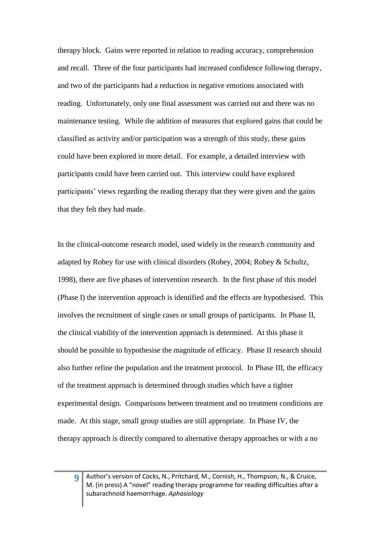therapy block. Gains were reported in relation to reading accuracy, comprehension and recall. Three of the four participants had increased confidence following therapy, and two of the participants had a reduction in negative emotions associated with reading. Unfortunately, only one final assessment was carried out and there was no maintenance testing. While the addition of measures that explored gains that could be classified as activity and/or participation was a strength of this study, these gains could have been explored in more detail. For example, a detailed interview with participants could have been carried out. This interview could have explored participants' views regarding the reading therapy that they were given and the gains that they felt they had made.

In the clinical-outcome research model, used widely in the research community and adapted by Robey for use with clinical disorders [\(Robey, 2004;](#page-38-9) [Robey & Schultz,](#page-38-10)  [1998\)](#page-38-10), there are five phases of intervention research. In the first phase of this model (Phase I) the intervention approach is identified and the effects are hypothesised. This involves the recruitment of single cases or small groups of participants. In Phase II, the clinical viability of the intervention approach is determined. At this phase it should be possible to hypothesise the magnitude of efficacy. Phase II research should also further refine the population and the treatment protocol. In Phase III, the efficacy of the treatment approach is determined through studies which have a tighter experimental design. Comparisons between treatment and no treatment conditions are made. At this stage, small group studies are still appropriate. In Phase IV, the therapy approach is directly compared to alternative therapy approaches or with a no

**9**

Author's version of Cocks, N., Pritchard, M., Cornish, H., Thompson, N., & Cruice, M. (in press) A "novel" reading therapy programme for reading difficulties after a subarachnoid haemorrhage. *Aphasiology*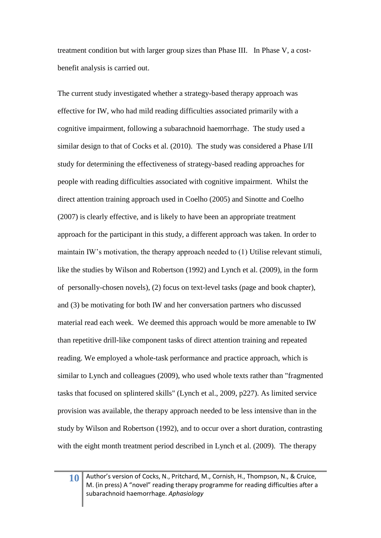treatment condition but with larger group sizes than Phase III. In Phase V, a costbenefit analysis is carried out.

The current study investigated whether a strategy-based therapy approach was effective for IW, who had mild reading difficulties associated primarily with a cognitive impairment, following a subarachnoid haemorrhage. The study used a similar design to that of Cocks et al. (2010). The study was considered a Phase I/II study for determining the effectiveness of strategy-based reading approaches for people with reading difficulties associated with cognitive impairment. Whilst the direct attention training approach used in Coelho (2005) and Sinotte and Coelho (2007) is clearly effective, and is likely to have been an appropriate treatment approach for the participant in this study, a different approach was taken. In order to maintain IW's motivation, the therapy approach needed to (1) Utilise relevant stimuli, like the studies by Wilson and Robertson [\(1992\)](#page-38-5) and Lynch et al. [\(2009\)](#page-38-2), in the form of personally-chosen novels), (2) focus on text-level tasks (page and book chapter), and (3) be motivating for both IW and her conversation partners who discussed material read each week. We deemed this approach would be more amenable to IW than repetitive drill-like component tasks of direct attention training and repeated reading. We employed a whole-task performance and practice approach, which is similar to Lynch and colleagues [\(2009\)](#page-38-2), who used whole texts rather than "fragmented tasks that focused on splintered skills" (Lynch et al., 2009, p227). As limited service provision was available, the therapy approach needed to be less intensive than in the study by Wilson and Robertson (1992), and to occur over a short duration, contrasting with the eight month treatment period described in Lynch et al. [\(2009\)](#page-38-2). The therapy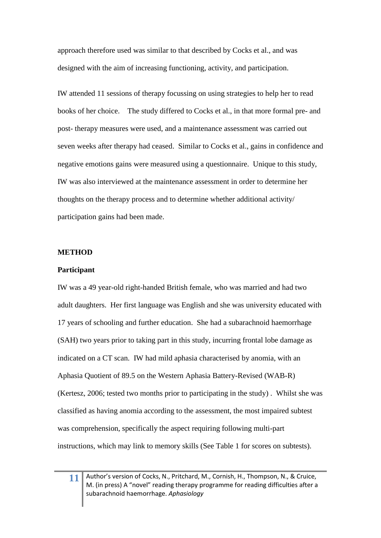approach therefore used was similar to that described by Cocks et al., and was designed with the aim of increasing functioning, activity, and participation.

IW attended 11 sessions of therapy focussing on using strategies to help her to read books of her choice. The study differed to Cocks et al., in that more formal pre- and post- therapy measures were used, and a maintenance assessment was carried out seven weeks after therapy had ceased. Similar to Cocks et al., gains in confidence and negative emotions gains were measured using a questionnaire. Unique to this study, IW was also interviewed at the maintenance assessment in order to determine her thoughts on the therapy process and to determine whether additional activity/ participation gains had been made.

#### **METHOD**

#### **Participant**

IW was a 49 year-old right-handed British female, who was married and had two adult daughters. Her first language was English and she was university educated with 17 years of schooling and further education. She had a subarachnoid haemorrhage (SAH) two years prior to taking part in this study, incurring frontal lobe damage as indicated on a CT scan. IW had mild aphasia characterised by anomia, with an Aphasia Quotient of 89.5 on the Western Aphasia Battery-Revised (WAB-R) [\(Kertesz, 2006; tested two months prior to participating in the study\)](#page-37-8) . Whilst she was classified as having anomia according to the assessment, the most impaired subtest was comprehension, specifically the aspect requiring following multi-part instructions, which may link to memory skills (See Table 1 for scores on subtests).

**11**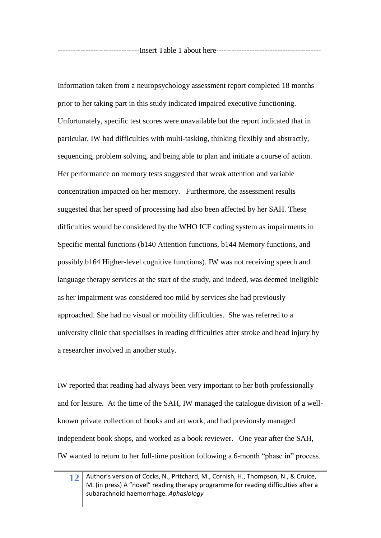Information taken from a neuropsychology assessment report completed 18 months prior to her taking part in this study indicated impaired executive functioning. Unfortunately, specific test scores were unavailable but the report indicated that in particular, IW had difficulties with multi-tasking, thinking flexibly and abstractly, sequencing, problem solving, and being able to plan and initiate a course of action. Her performance on memory tests suggested that weak attention and variable concentration impacted on her memory. Furthermore, the assessment results suggested that her speed of processing had also been affected by her SAH. These difficulties would be considered by the WHO ICF coding system as impairments in Specific mental functions (b140 Attention functions, b144 Memory functions, and possibly b164 Higher-level cognitive functions). IW was not receiving speech and language therapy services at the start of the study, and indeed, was deemed ineligible as her impairment was considered too mild by services she had previously approached. She had no visual or mobility difficulties. She was referred to a university clinic that specialises in reading difficulties after stroke and head injury by a researcher involved in another study.

IW reported that reading had always been very important to her both professionally and for leisure. At the time of the SAH, IW managed the catalogue division of a wellknown private collection of books and art work, and had previously managed independent book shops, and worked as a book reviewer. One year after the SAH, IW wanted to return to her full-time position following a 6-month "phase in" process.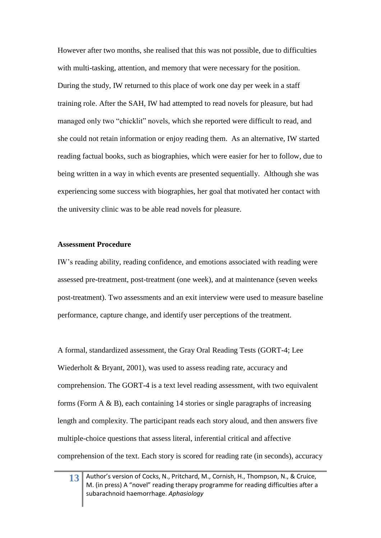However after two months, she realised that this was not possible, due to difficulties with multi-tasking, attention, and memory that were necessary for the position. During the study, IW returned to this place of work one day per week in a staff training role. After the SAH, IW had attempted to read novels for pleasure, but had managed only two "chicklit" novels, which she reported were difficult to read, and she could not retain information or enjoy reading them. As an alternative, IW started reading factual books, such as biographies, which were easier for her to follow, due to being written in a way in which events are presented sequentially. Although she was experiencing some success with biographies, her goal that motivated her contact with the university clinic was to be able read novels for pleasure.

#### **Assessment Procedure**

IW's reading ability, reading confidence, and emotions associated with reading were assessed pre-treatment, post-treatment (one week), and at maintenance (seven weeks post-treatment). Two assessments and an exit interview were used to measure baseline performance, capture change, and identify user perceptions of the treatment.

A formal, standardized assessment, the Gray Oral Reading Tests [\(GORT-4; Lee](#page-38-0)  [Wiederholt & Bryant, 2001\)](#page-38-0), was used to assess reading rate, accuracy and comprehension. The GORT-4 is a text level reading assessment, with two equivalent forms (Form  $A \& B$ ), each containing 14 stories or single paragraphs of increasing length and complexity. The participant reads each story aloud, and then answers five multiple-choice questions that assess literal, inferential critical and affective comprehension of the text. Each story is scored for reading rate (in seconds), accuracy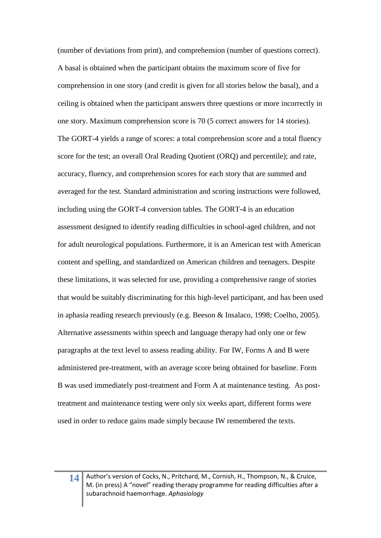(number of deviations from print), and comprehension (number of questions correct). A basal is obtained when the participant obtains the maximum score of five for comprehension in one story (and credit is given for all stories below the basal), and a ceiling is obtained when the participant answers three questions or more incorrectly in one story. Maximum comprehension score is 70 (5 correct answers for 14 stories). The GORT-4 yields a range of scores: a total comprehension score and a total fluency score for the test; an overall Oral Reading Quotient (ORQ) and percentile); and rate, accuracy, fluency, and comprehension scores for each story that are summed and averaged for the test. Standard administration and scoring instructions were followed, including using the GORT-4 conversion tables. The GORT-4 is an education assessment designed to identify reading difficulties in school-aged children, and not for adult neurological populations. Furthermore, it is an American test with American content and spelling, and standardized on American children and teenagers. Despite these limitations, it was selected for use, providing a comprehensive range of stories that would be suitably discriminating for this high-level participant, and has been used in aphasia reading research previously (e.g. Beeson & Insalaco, 1998; Coelho, 2005). Alternative assessments within speech and language therapy had only one or few paragraphs at the text level to assess reading ability. For IW, Forms A and B were administered pre-treatment, with an average score being obtained for baseline. Form B was used immediately post-treatment and Form A at maintenance testing. As posttreatment and maintenance testing were only six weeks apart, different forms were used in order to reduce gains made simply because IW remembered the texts.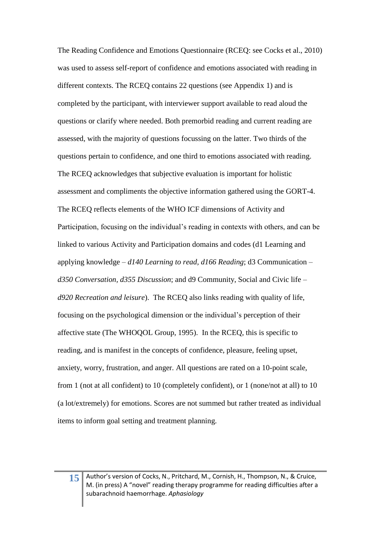The Reading Confidence and Emotions Questionnaire (RCEQ: see Cocks et al., 2010) was used to assess self-report of confidence and emotions associated with reading in different contexts. The RCEQ contains 22 questions (see Appendix 1) and is completed by the participant, with interviewer support available to read aloud the questions or clarify where needed. Both premorbid reading and current reading are assessed, with the majority of questions focussing on the latter. Two thirds of the questions pertain to confidence, and one third to emotions associated with reading. The RCEQ acknowledges that subjective evaluation is important for holistic assessment and compliments the objective information gathered using the GORT-4. The RCEQ reflects elements of the WHO ICF dimensions of Activity and Participation, focusing on the individual's reading in contexts with others, and can be linked to various Activity and Participation domains and codes (d1 Learning and applying knowledge – *d140 Learning to read, d166 Reading*; d3 Communication – *d350 Conversation, d355 Discussion*; and d9 Community, Social and Civic life – *d920 Recreation and leisure*). The RCEQ also links reading with quality of life, focusing on the psychological dimension or the individual's perception of their affective state [\(The WHOQOL Group, 1995\)](#page-38-11). In the RCEQ, this is specific to reading, and is manifest in the concepts of confidence, pleasure, feeling upset, anxiety, worry, frustration, and anger. All questions are rated on a 10-point scale, from 1 (not at all confident) to 10 (completely confident), or 1 (none/not at all) to 10 (a lot/extremely) for emotions. Scores are not summed but rather treated as individual items to inform goal setting and treatment planning.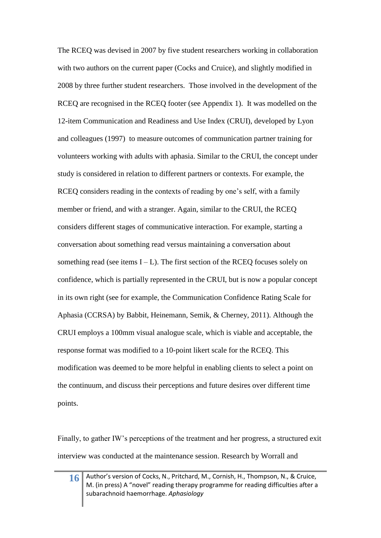The RCEQ was devised in 2007 by five student researchers working in collaboration with two authors on the current paper (Cocks and Cruice), and slightly modified in 2008 by three further student researchers. Those involved in the development of the RCEQ are recognised in the RCEQ footer (see Appendix 1). It was modelled on the 12-item Communication and Readiness and Use Index (CRUI), developed by Lyon and colleagues [\(1997\)](#page-38-12) to measure outcomes of communication partner training for volunteers working with adults with aphasia. Similar to the CRUI, the concept under study is considered in relation to different partners or contexts. For example, the RCEQ considers reading in the contexts of reading by one's self, with a family member or friend, and with a stranger. Again, similar to the CRUI, the RCEQ considers different stages of communicative interaction. For example, starting a conversation about something read versus maintaining a conversation about something read (see items  $I - L$ ). The first section of the RCEQ focuses solely on confidence, which is partially represented in the CRUI, but is now a popular concept in its own right [\(see for example, the Communication Confidence Rating Scale for](#page-36-1)  [Aphasia \(CCRSA\) by Babbit, Heinemann, Semik, & Cherney, 2011\)](#page-36-1). Although the CRUI employs a 100mm visual analogue scale, which is viable and acceptable, the response format was modified to a 10-point likert scale for the RCEQ. This modification was deemed to be more helpful in enabling clients to select a point on the continuum, and discuss their perceptions and future desires over different time points.

Finally, to gather IW's perceptions of the treatment and her progress, a structured exit interview was conducted at the maintenance session. Research by Worrall and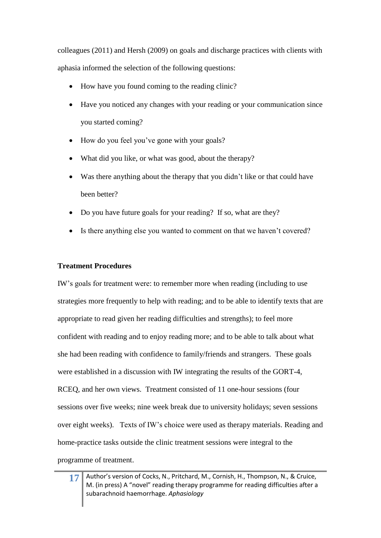colleagues [\(2011\)](#page-38-7) and Hersh [\(2009\)](#page-37-9) on goals and discharge practices with clients with aphasia informed the selection of the following questions:

- How have you found coming to the reading clinic?
- Have you noticed any changes with your reading or your communication since you started coming?
- How do you feel you've gone with your goals?
- What did you like, or what was good, about the therapy?
- Was there anything about the therapy that you didn't like or that could have been better?
- Do you have future goals for your reading? If so, what are they?
- Is there anything else you wanted to comment on that we haven't covered?

## **Treatment Procedures**

IW's goals for treatment were: to remember more when reading (including to use strategies more frequently to help with reading; and to be able to identify texts that are appropriate to read given her reading difficulties and strengths); to feel more confident with reading and to enjoy reading more; and to be able to talk about what she had been reading with confidence to family/friends and strangers. These goals were established in a discussion with IW integrating the results of the GORT-4, RCEQ, and her own views. Treatment consisted of 11 one-hour sessions (four sessions over five weeks; nine week break due to university holidays; seven sessions over eight weeks). Texts of IW's choice were used as therapy materials. Reading and home-practice tasks outside the clinic treatment sessions were integral to the programme of treatment.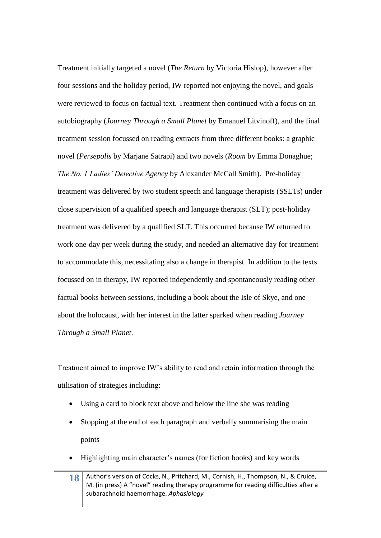Treatment initially targeted a novel (*The Return* by Victoria [Hislop\)](#page-37-10), however after four sessions and the holiday period, IW reported not enjoying the novel, and goals were reviewed to focus on factual text. Treatment then continued with a focus on an autobiography (*[Journey Through a Small Planet](#page-38-13)* by Emanuel Litvinoff), and the final treatment session focussed on reading extracts from three different books: a graphic novel (*Persepolis* [by Marjane Satrapi\)](#page-38-14) and two novels (*Room* [by Emma Donaghue;](#page-37-11) *[The No. 1 Ladies' Detective Agency](#page-38-15)* by Alexander McCall Smith). Pre-holiday treatment was delivered by two student speech and language therapists (SSLTs) under close supervision of a qualified speech and language therapist (SLT); post-holiday treatment was delivered by a qualified SLT. This occurred because IW returned to work one-day per week during the study, and needed an alternative day for treatment to accommodate this, necessitating also a change in therapist. In addition to the texts focussed on in therapy, IW reported independently and spontaneously reading other factual books between sessions, including a book about the Isle of Skye, and one about the holocaust, with her interest in the latter sparked when reading *Journey Through a Small Planet*.

Treatment aimed to improve IW's ability to read and retain information through the utilisation of strategies including:

- Using a card to block text above and below the line she was reading
- Stopping at the end of each paragraph and verbally summarising the main points
- Highlighting main character's names (for fiction books) and key words
- **18** Author's version of Cocks, N., Pritchard, M., Cornish, H., Thompson, N., & Cruice, M. (in press) A "novel" reading therapy programme for reading difficulties after a subarachnoid haemorrhage. *Aphasiology*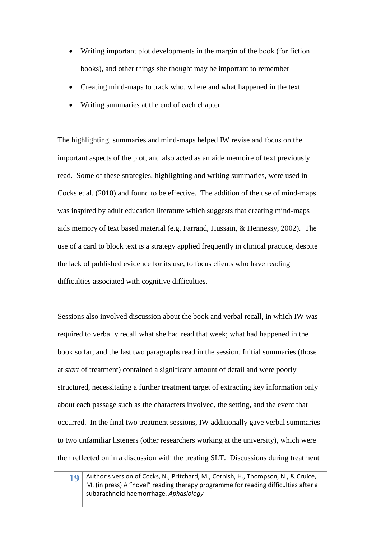- Writing important plot developments in the margin of the book (for fiction books), and other things she thought may be important to remember
- Creating mind-maps to track who, where and what happened in the text
- Writing summaries at the end of each chapter

The highlighting, summaries and mind-maps helped IW revise and focus on the important aspects of the plot, and also acted as an aide memoire of text previously read. Some of these strategies, highlighting and writing summaries, were used in Cocks et al. [\(2010\)](#page-37-0) and found to be effective. The addition of the use of mind-maps was inspired by adult education literature which suggests that creating mind-maps aids memory of text based material [\(e.g. Farrand, Hussain, & Hennessy, 2002\)](#page-37-12). The use of a card to block text is a strategy applied frequently in clinical practice, despite the lack of published evidence for its use, to focus clients who have reading difficulties associated with cognitive difficulties.

Sessions also involved discussion about the book and verbal recall, in which IW was required to verbally recall what she had read that week; what had happened in the book so far; and the last two paragraphs read in the session. Initial summaries (those at *start* of treatment) contained a significant amount of detail and were poorly structured, necessitating a further treatment target of extracting key information only about each passage such as the characters involved, the setting, and the event that occurred. In the final two treatment sessions, IW additionally gave verbal summaries to two unfamiliar listeners (other researchers working at the university), which were then reflected on in a discussion with the treating SLT. Discussions during treatment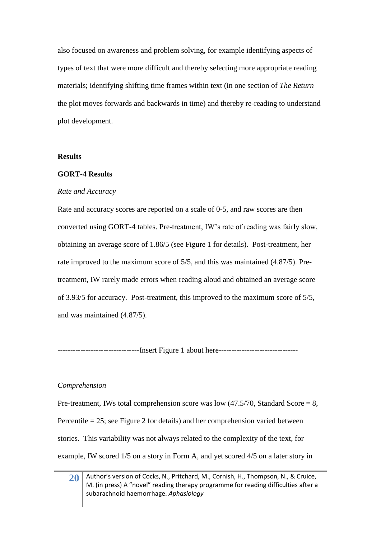also focused on awareness and problem solving, for example identifying aspects of types of text that were more difficult and thereby selecting more appropriate reading materials; identifying shifting time frames within text (in one section of *The Return*  the plot moves forwards and backwards in time) and thereby re-reading to understand plot development.

#### **Results**

## **GORT-4 Results**

## *Rate and Accuracy*

Rate and accuracy scores are reported on a scale of 0-5, and raw scores are then converted using GORT-4 tables. Pre-treatment, IW's rate of reading was fairly slow, obtaining an average score of 1.86/5 (see Figure 1 for details). Post-treatment, her rate improved to the maximum score of 5/5, and this was maintained (4.87/5). Pretreatment, IW rarely made errors when reading aloud and obtained an average score of 3.93/5 for accuracy. Post-treatment, this improved to the maximum score of 5/5, and was maintained (4.87/5).

--------------------------------Insert Figure 1 about here-------------------------------

#### *Comprehension*

Pre-treatment, IWs total comprehension score was low  $(47.5/70,$  Standard Score = 8, Percentile = 25; see Figure 2 for details) and her comprehension varied between stories. This variability was not always related to the complexity of the text, for example, IW scored 1/5 on a story in Form A, and yet scored 4/5 on a later story in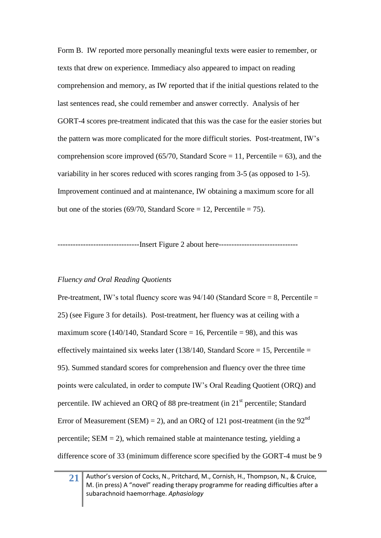Form B. IW reported more personally meaningful texts were easier to remember, or texts that drew on experience. Immediacy also appeared to impact on reading comprehension and memory, as IW reported that if the initial questions related to the last sentences read, she could remember and answer correctly. Analysis of her GORT-4 scores pre-treatment indicated that this was the case for the easier stories but the pattern was more complicated for the more difficult stories. Post-treatment, IW's comprehension score improved (65/70, Standard Score = 11, Percentile = 63), and the variability in her scores reduced with scores ranging from 3-5 (as opposed to 1-5). Improvement continued and at maintenance, IW obtaining a maximum score for all but one of the stories (69/70, Standard Score = 12, Percentile = 75).

-----------------------Insert Figure 2 about here-------------------------------

## *Fluency and Oral Reading Quotients*

Pre-treatment, IW's total fluency score was  $94/140$  (Standard Score = 8, Percentile = 25) (see Figure 3 for details). Post-treatment, her fluency was at ceiling with a maximum score (140/140, Standard Score = 16, Percentile = 98), and this was effectively maintained six weeks later  $(138/140, Standard Score = 15, Percentage = 15)$ 95). Summed standard scores for comprehension and fluency over the three time points were calculated, in order to compute IW's Oral Reading Quotient (ORQ) and percentile. IW achieved an ORQ of 88 pre-treatment (in 21st percentile; Standard Error of Measurement (SEM) = 2), and an ORQ of 121 post-treatment (in the  $92<sup>nd</sup>$ percentile;  $SEM = 2$ ), which remained stable at maintenance testing, yielding a difference score of 33 (minimum difference score specified by the GORT-4 must be 9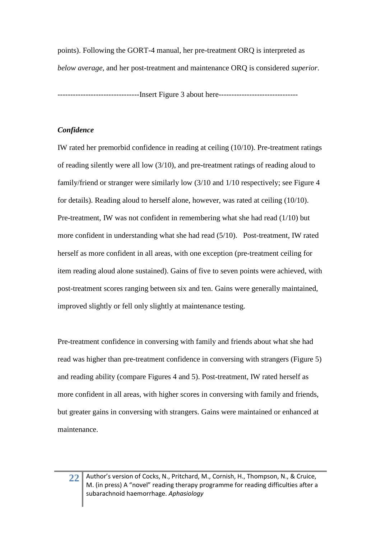points). Following the GORT-4 manual, her pre-treatment ORQ is interpreted as *below average*, and her post-treatment and maintenance ORQ is considered *superior*.

--------------------------------Insert Figure 3 about here-------------------------------

## *Confidence*

IW rated her premorbid confidence in reading at ceiling (10/10). Pre-treatment ratings of reading silently were all low (3/10), and pre-treatment ratings of reading aloud to family/friend or stranger were similarly low (3/10 and 1/10 respectively; see Figure 4 for details). Reading aloud to herself alone, however, was rated at ceiling (10/10). Pre-treatment, IW was not confident in remembering what she had read (1/10) but more confident in understanding what she had read (5/10). Post-treatment, IW rated herself as more confident in all areas, with one exception (pre-treatment ceiling for item reading aloud alone sustained). Gains of five to seven points were achieved, with post-treatment scores ranging between six and ten. Gains were generally maintained, improved slightly or fell only slightly at maintenance testing.

Pre-treatment confidence in conversing with family and friends about what she had read was higher than pre-treatment confidence in conversing with strangers (Figure 5) and reading ability (compare Figures 4 and 5). Post-treatment, IW rated herself as more confident in all areas, with higher scores in conversing with family and friends, but greater gains in conversing with strangers. Gains were maintained or enhanced at maintenance.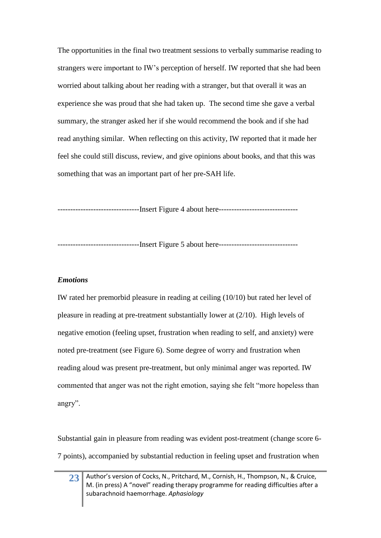The opportunities in the final two treatment sessions to verbally summarise reading to strangers were important to IW's perception of herself. IW reported that she had been worried about talking about her reading with a stranger, but that overall it was an experience she was proud that she had taken up. The second time she gave a verbal summary, the stranger asked her if she would recommend the book and if she had read anything similar. When reflecting on this activity, IW reported that it made her feel she could still discuss, review, and give opinions about books, and that this was something that was an important part of her pre-SAH life.

--------------------------------Insert Figure 4 about here-------------------------------

--------------------------------Insert Figure 5 about here-------------------------------

#### *Emotions*

IW rated her premorbid pleasure in reading at ceiling (10/10) but rated her level of pleasure in reading at pre-treatment substantially lower at (2/10). High levels of negative emotion (feeling upset, frustration when reading to self, and anxiety) were noted pre-treatment (see Figure 6). Some degree of worry and frustration when reading aloud was present pre-treatment, but only minimal anger was reported. IW commented that anger was not the right emotion, saying she felt "more hopeless than angry".

Substantial gain in pleasure from reading was evident post-treatment (change score 6- 7 points), accompanied by substantial reduction in feeling upset and frustration when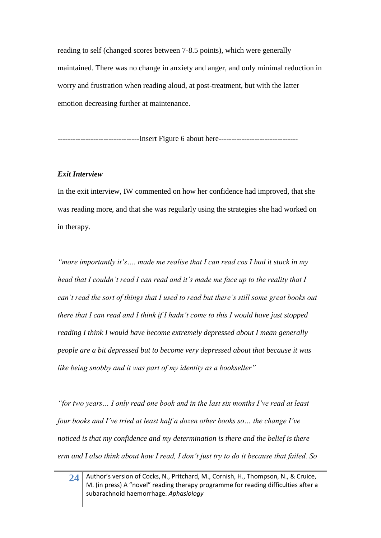reading to self (changed scores between 7-8.5 points), which were generally maintained. There was no change in anxiety and anger, and only minimal reduction in worry and frustration when reading aloud, at post-treatment, but with the latter emotion decreasing further at maintenance.

--------------------------------Insert Figure 6 about here-------------------------------

## *Exit Interview*

In the exit interview, IW commented on how her confidence had improved, that she was reading more, and that she was regularly using the strategies she had worked on in therapy.

*"more importantly it's…. made me realise that I can read cos I had it stuck in my head that I couldn't read I can read and it's made me face up to the reality that I can't read the sort of things that I used to read but there's still some great books out there that I can read and I think if I hadn't come to this I would have just stopped reading I think I would have become extremely depressed about I mean generally people are a bit depressed but to become very depressed about that because it was like being snobby and it was part of my identity as a bookseller"*

*"for two years… I only read one book and in the last six months I've read at least four books and I've tried at least half a dozen other books so… the change I've noticed is that my confidence and my determination is there and the belief is there erm and I also think about how I read, I don't just try to do it because that failed. So*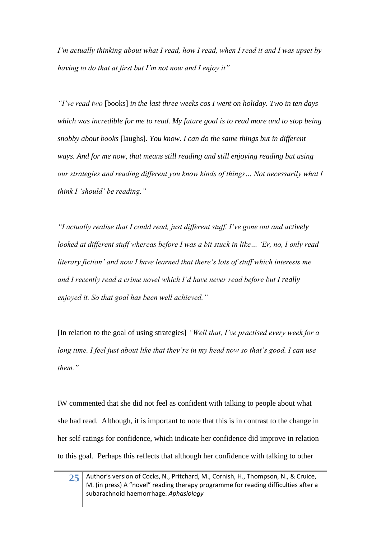*I'm actually thinking about what I read, how I read, when I read it and I was upset by having to do that at first but I'm not now and I enjoy it"* 

*"I've read two* [books] *in the last three weeks cos I went on holiday. Two in ten days which was incredible for me to read. My future goal is to read more and to stop being snobby about books* [laughs]*. You know. I can do the same things but in different ways. And for me now, that means still reading and still enjoying reading but using our strategies and reading different you know kinds of things… Not necessarily what I think I 'should' be reading."* 

*"I actually realise that I could read, just different stuff. I've gone out and actively looked at different stuff whereas before I was a bit stuck in like… 'Er, no, I only read literary fiction' and now I have learned that there's lots of stuff which interests me and I recently read a crime novel which I'd have never read before but I really enjoyed it. So that goal has been well achieved."*

[In relation to the goal of using strategies] *"Well that, I've practised every week for a long time. I feel just about like that they're in my head now so that's good. I can use them."*

IW commented that she did not feel as confident with talking to people about what she had read. Although, it is important to note that this is in contrast to the change in her self-ratings for confidence, which indicate her confidence did improve in relation to this goal. Perhaps this reflects that although her confidence with talking to other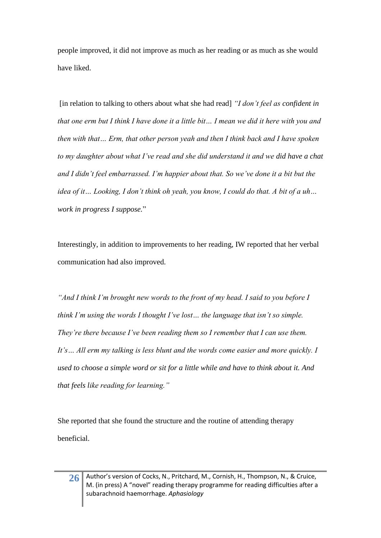people improved, it did not improve as much as her reading or as much as she would have liked.

[in relation to talking to others about what she had read] *"I don't feel as confident in that one erm but I think I have done it a little bit… I mean we did it here with you and then with that… Erm, that other person yeah and then I think back and I have spoken to my daughter about what I've read and she did understand it and we did have a chat and I didn't feel embarrassed. I'm happier about that. So we've done it a bit but the idea of it… Looking, I don't think oh yeah, you know, I could do that. A bit of a uh… work in progress I suppose.*"

Interestingly, in addition to improvements to her reading, IW reported that her verbal communication had also improved.

*"And I think I'm brought new words to the front of my head. I said to you before I think I'm using the words I thought I've lost… the language that isn't so simple. They're there because I've been reading them so I remember that I can use them. It's… All erm my talking is less blunt and the words come easier and more quickly. I used to choose a simple word or sit for a little while and have to think about it. And that feels like reading for learning."* 

She reported that she found the structure and the routine of attending therapy beneficial.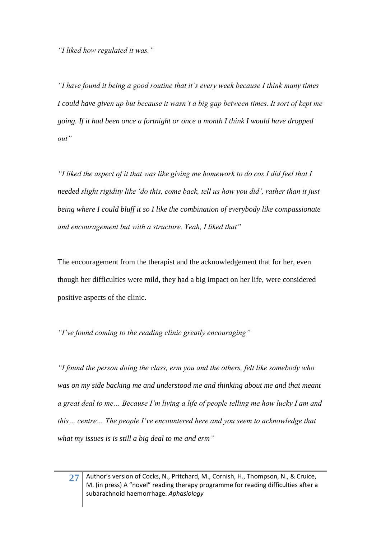*"I liked how regulated it was."*

*"I have found it being a good routine that it's every week because I think many times I could have given up but because it wasn't a big gap between times. It sort of kept me going. If it had been once a fortnight or once a month I think I would have dropped out"*

*"I liked the aspect of it that was like giving me homework to do cos I did feel that I needed slight rigidity like 'do this, come back, tell us how you did', rather than it just being where I could bluff it so I like the combination of everybody like compassionate and encouragement but with a structure. Yeah, I liked that"*

The encouragement from the therapist and the acknowledgement that for her, even though her difficulties were mild, they had a big impact on her life, were considered positive aspects of the clinic.

*"I've found coming to the reading clinic greatly encouraging"* 

*"I found the person doing the class, erm you and the others, felt like somebody who was on my side backing me and understood me and thinking about me and that meant a great deal to me… Because I'm living a life of people telling me how lucky I am and this… centre… The people I've encountered here and you seem to acknowledge that what my issues is is still a big deal to me and erm"*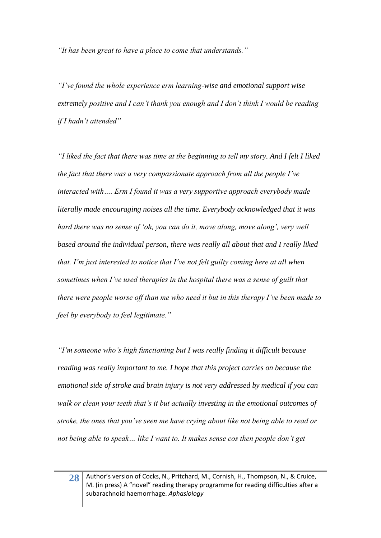*"It has been great to have a place to come that understands."*

*"I've found the whole experience erm learning-wise and emotional support wise extremely positive and I can't thank you enough and I don't think I would be reading if I hadn't attended"* 

*"I liked the fact that there was time at the beginning to tell my story. And I felt I liked the fact that there was a very compassionate approach from all the people I've interacted with…. Erm I found it was a very supportive approach everybody made literally made encouraging noises all the time. Everybody acknowledged that it was hard there was no sense of 'oh, you can do it, move along, move along', very well based around the individual person, there was really all about that and I really liked that. I'm just interested to notice that I've not felt guilty coming here at all when sometimes when I've used therapies in the hospital there was a sense of guilt that there were people worse off than me who need it but in this therapy I've been made to feel by everybody to feel legitimate."*

*"I'm someone who's high functioning but I was really finding it difficult because reading was really important to me. I hope that this project carries on because the emotional side of stroke and brain injury is not very addressed by medical if you can walk or clean your teeth that's it but actually investing in the emotional outcomes of stroke, the ones that you've seen me have crying about like not being able to read or not being able to speak… like I want to. It makes sense cos then people don't get*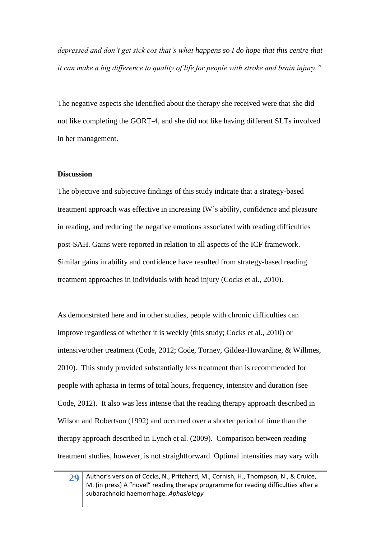*depressed and don't get sick cos that's what happens so I do hope that this centre that it can make a big difference to quality of life for people with stroke and brain injury."* 

The negative aspects she identified about the therapy she received were that she did not like completing the GORT-4, and she did not like having different SLTs involved in her management.

#### **Discussion**

The objective and subjective findings of this study indicate that a strategy-based treatment approach was effective in increasing IW's ability, confidence and pleasure in reading, and reducing the negative emotions associated with reading difficulties post-SAH. Gains were reported in relation to all aspects of the ICF framework. Similar gains in ability and confidence have resulted from strategy-based reading treatment approaches in individuals with head injury (Cocks et al., 2010).

As demonstrated here and in other studies, people with chronic difficulties can improve regardless of whether it is weekly (this study; Cocks et al., 2010) or intensive/other treatment [\(Code, 2012;](#page-37-13) [Code, Torney, Gildea-Howardine, & Willmes,](#page-37-14)  [2010\)](#page-37-14). This study provided substantially less treatment than is recommended for people with aphasia in terms of total hours, frequency, intensity and duration (see Code, 2012). It also was less intense that the reading therapy approach described in Wilson and Robertson (1992) and occurred over a shorter period of time than the therapy approach described in Lynch et al. [\(2009\)](#page-38-2). Comparison between reading treatment studies, however, is not straightforward. Optimal intensities may vary with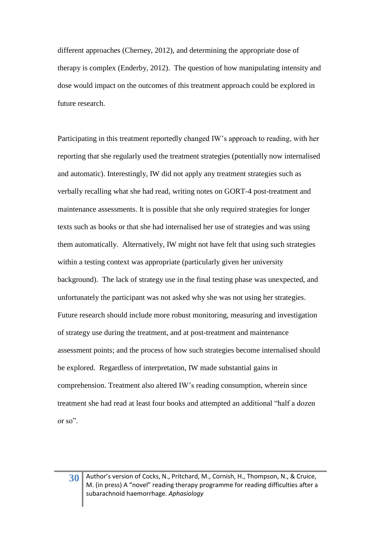different approaches [\(Cherney, 2012\)](#page-37-15), and determining the appropriate dose of therapy is complex [\(Enderby, 2012\)](#page-37-16). The question of how manipulating intensity and dose would impact on the outcomes of this treatment approach could be explored in future research.

Participating in this treatment reportedly changed IW's approach to reading, with her reporting that she regularly used the treatment strategies (potentially now internalised and automatic). Interestingly, IW did not apply any treatment strategies such as verbally recalling what she had read, writing notes on GORT-4 post-treatment and maintenance assessments. It is possible that she only required strategies for longer texts such as books or that she had internalised her use of strategies and was using them automatically. Alternatively, IW might not have felt that using such strategies within a testing context was appropriate (particularly given her university background). The lack of strategy use in the final testing phase was unexpected, and unfortunately the participant was not asked why she was not using her strategies. Future research should include more robust monitoring, measuring and investigation of strategy use during the treatment, and at post-treatment and maintenance assessment points; and the process of how such strategies become internalised should be explored. Regardless of interpretation, IW made substantial gains in comprehension. Treatment also altered IW's reading consumption, wherein since treatment she had read at least four books and attempted an additional "half a dozen or so".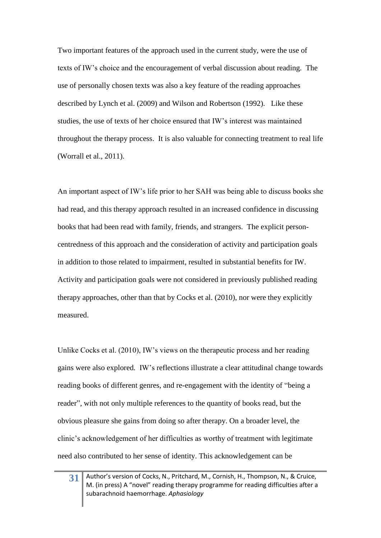Two important features of the approach used in the current study, were the use of texts of IW's choice and the encouragement of verbal discussion about reading. The use of personally chosen texts was also a key feature of the reading approaches described by Lynch et al. (2009) and Wilson and Robertson (1992). Like these studies, the use of texts of her choice ensured that IW's interest was maintained throughout the therapy process. It is also valuable for connecting treatment to real life [\(Worrall et al., 2011\)](#page-38-7).

An important aspect of IW's life prior to her SAH was being able to discuss books she had read, and this therapy approach resulted in an increased confidence in discussing books that had been read with family, friends, and strangers. The explicit personcentredness of this approach and the consideration of activity and participation goals in addition to those related to impairment, resulted in substantial benefits for IW. Activity and participation goals were not considered in previously published reading therapy approaches, other than that by Cocks et al. (2010), nor were they explicitly measured.

Unlike Cocks et al. (2010), IW's views on the therapeutic process and her reading gains were also explored. IW's reflections illustrate a clear attitudinal change towards reading books of different genres, and re-engagement with the identity of "being a reader", with not only multiple references to the quantity of books read, but the obvious pleasure she gains from doing so after therapy. On a broader level, the clinic's acknowledgement of her difficulties as worthy of treatment with legitimate need also contributed to her sense of identity. This acknowledgement can be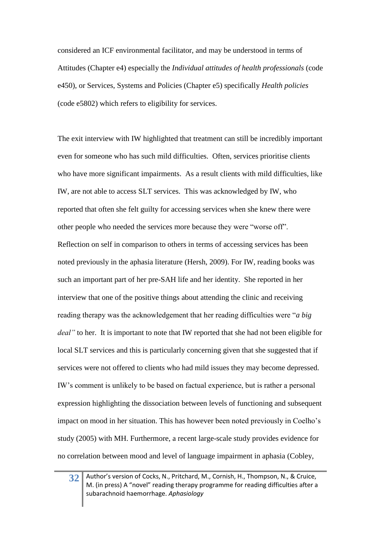considered an ICF environmental facilitator, and may be understood in terms of Attitudes (Chapter e4) especially the *Individual attitudes of health professionals* (code e450), or Services, Systems and Policies (Chapter e5) specifically *Health policies* (code e5802) which refers to eligibility for services.

The exit interview with IW highlighted that treatment can still be incredibly important even for someone who has such mild difficulties. Often, services prioritise clients who have more significant impairments. As a result clients with mild difficulties, like IW, are not able to access SLT services. This was acknowledged by IW, who reported that often she felt guilty for accessing services when she knew there were other people who needed the services more because they were "worse off". Reflection on self in comparison to others in terms of accessing services has been noted previously in the aphasia literature [\(Hersh, 2009\)](#page-37-9). For IW, reading books was such an important part of her pre-SAH life and her identity. She reported in her interview that one of the positive things about attending the clinic and receiving reading therapy was the acknowledgement that her reading difficulties were "*a big deal"* to her. It is important to note that IW reported that she had not been eligible for local SLT services and this is particularly concerning given that she suggested that if services were not offered to clients who had mild issues they may become depressed. IW's comment is unlikely to be based on factual experience, but is rather a personal expression highlighting the dissociation between levels of functioning and subsequent impact on mood in her situation. This has however been noted previously in Coelho's study (2005) with MH. Furthermore, a recent large-scale study provides evidence for no correlation between mood and level of language impairment in aphasia [\(Cobley,](#page-37-17)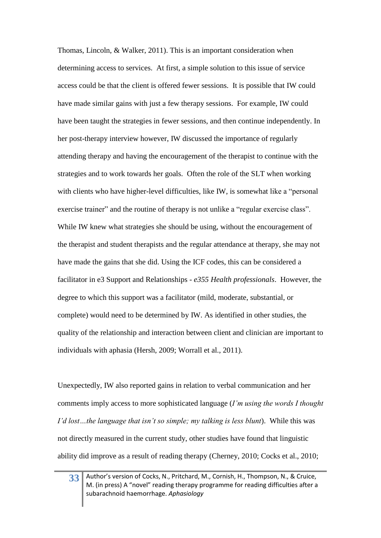Thomas, Lincoln, & Walker, 2011). This is an important consideration when determining access to services. At first, a simple solution to this issue of service access could be that the client is offered fewer sessions. It is possible that IW could have made similar gains with just a few therapy sessions. For example, IW could have been taught the strategies in fewer sessions, and then continue independently. In her post-therapy interview however, IW discussed the importance of regularly attending therapy and having the encouragement of the therapist to continue with the strategies and to work towards her goals. Often the role of the SLT when working with clients who have higher-level difficulties, like IW, is somewhat like a "personal" exercise trainer" and the routine of therapy is not unlike a "regular exercise class". While IW knew what strategies she should be using, without the encouragement of the therapist and student therapists and the regular attendance at therapy, she may not have made the gains that she did. Using the ICF codes, this can be considered a facilitator in e3 Support and Relationships - *e355 Health professionals*. However, the degree to which this support was a facilitator (mild, moderate, substantial, or complete) would need to be determined by IW. As identified in other studies, the quality of the relationship and interaction between client and clinician are important to individuals with aphasia (Hersh, 2009; Worrall et al., 2011).

Unexpectedly, IW also reported gains in relation to verbal communication and her comments imply access to more sophisticated language (*I'm using the words I thought I'd lost…the language that isn't so simple; my talking is less blunt*). While this was not directly measured in the current study, other studies have found that linguistic ability did improve as a result of reading therapy [\(Cherney, 2010;](#page-37-3) [Cocks et al., 2010;](#page-37-0)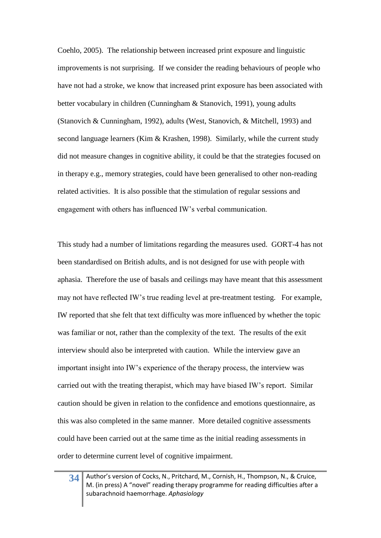[Coehlo, 2005\)](#page-37-5). The relationship between increased print exposure and linguistic improvements is not surprising. If we consider the reading behaviours of people who have not had a stroke, we know that increased print exposure has been associated with better vocabulary in children [\(Cunningham & Stanovich, 1991\)](#page-37-18), young adults [\(Stanovich & Cunningham, 1992\)](#page-38-16), adults [\(West, Stanovich, & Mitchell, 1993\)](#page-38-17) and second language learners [\(Kim & Krashen, 1998\)](#page-38-18). Similarly, while the current study did not measure changes in cognitive ability, it could be that the strategies focused on in therapy e.g., memory strategies, could have been generalised to other non-reading related activities. It is also possible that the stimulation of regular sessions and engagement with others has influenced IW's verbal communication.

This study had a number of limitations regarding the measures used. GORT-4 has not been standardised on British adults, and is not designed for use with people with aphasia. Therefore the use of basals and ceilings may have meant that this assessment may not have reflected IW's true reading level at pre-treatment testing. For example, IW reported that she felt that text difficulty was more influenced by whether the topic was familiar or not, rather than the complexity of the text. The results of the exit interview should also be interpreted with caution. While the interview gave an important insight into IW's experience of the therapy process, the interview was carried out with the treating therapist, which may have biased IW's report. Similar caution should be given in relation to the confidence and emotions questionnaire, as this was also completed in the same manner. More detailed cognitive assessments could have been carried out at the same time as the initial reading assessments in order to determine current level of cognitive impairment.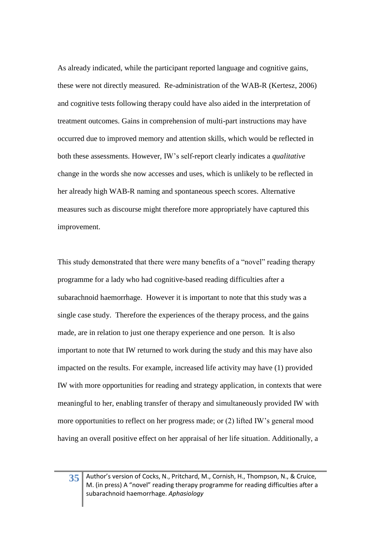As already indicated, while the participant reported language and cognitive gains, these were not directly measured. Re-administration of the WAB-R [\(Kertesz, 2006\)](#page-37-8) and cognitive tests following therapy could have also aided in the interpretation of treatment outcomes. Gains in comprehension of multi-part instructions may have occurred due to improved memory and attention skills, which would be reflected in both these assessments. However, IW's self-report clearly indicates a *qualitative* change in the words she now accesses and uses, which is unlikely to be reflected in her already high WAB-R naming and spontaneous speech scores. Alternative measures such as discourse might therefore more appropriately have captured this improvement.

This study demonstrated that there were many benefits of a "novel" reading therapy programme for a lady who had cognitive-based reading difficulties after a subarachnoid haemorrhage. However it is important to note that this study was a single case study. Therefore the experiences of the therapy process, and the gains made, are in relation to just one therapy experience and one person. It is also important to note that IW returned to work during the study and this may have also impacted on the results. For example, increased life activity may have (1) provided IW with more opportunities for reading and strategy application, in contexts that were meaningful to her, enabling transfer of therapy and simultaneously provided IW with more opportunities to reflect on her progress made; or (2) lifted IW's general mood having an overall positive effect on her appraisal of her life situation. Additionally, a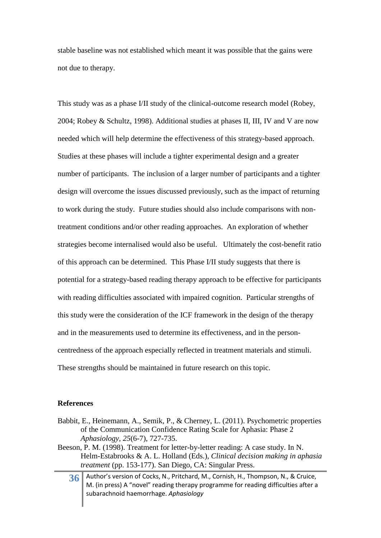stable baseline was not established which meant it was possible that the gains were not due to therapy.

This study was as a phase I/II study of the clinical-outcome research model [\(Robey,](#page-38-9)  [2004;](#page-38-9) [Robey & Schultz, 1998\)](#page-38-10). Additional studies at phases II, III, IV and V are now needed which will help determine the effectiveness of this strategy-based approach. Studies at these phases will include a tighter experimental design and a greater number of participants. The inclusion of a larger number of participants and a tighter design will overcome the issues discussed previously, such as the impact of returning to work during the study. Future studies should also include comparisons with nontreatment conditions and/or other reading approaches. An exploration of whether strategies become internalised would also be useful. Ultimately the cost-benefit ratio of this approach can be determined. This Phase I/II study suggests that there is potential for a strategy-based reading therapy approach to be effective for participants with reading difficulties associated with impaired cognition. Particular strengths of this study were the consideration of the ICF framework in the design of the therapy and in the measurements used to determine its effectiveness, and in the personcentredness of the approach especially reflected in treatment materials and stimuli. These strengths should be maintained in future research on this topic.

#### **References**

- <span id="page-36-1"></span>Babbit, E., Heinemann, A., Semik, P., & Cherney, L. (2011). Psychometric properties of the Communication Confidence Rating Scale for Aphasia: Phase 2 *Aphasiology, 25*(6-7), 727-735.
- <span id="page-36-0"></span>Beeson, P. M. (1998). Treatment for letter-by-letter reading: A case study. In N. Helm-Estabrooks & A. L. Holland (Eds.), *Clinical decision making in aphasia treatment* (pp. 153-177). San Diego, CA: Singular Press.
	- **36** Author's version of Cocks, N., Pritchard, M., Cornish, H., Thompson, N., & Cruice, M. (in press) A "novel" reading therapy programme for reading difficulties after a subarachnoid haemorrhage. *Aphasiology*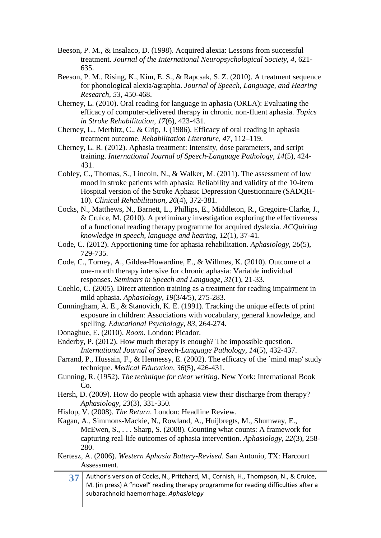- <span id="page-37-2"></span>Beeson, P. M., & Insalaco, D. (1998). Acquired alexia: Lessons from successful treatment. *Journal of the International Neuropsychological Society, 4*, 621- 635.
- <span id="page-37-1"></span>Beeson, P. M., Rising, K., Kim, E. S., & Rapcsak, S. Z. (2010). A treatment sequence for phonological alexia/agraphia. *Journal of Speech, Language, and Hearing Research, 53*, 450-468.
- <span id="page-37-3"></span>Cherney, L. (2010). Oral reading for language in aphasia (ORLA): Evaluating the efficacy of computer-delivered therapy in chronic non-fluent aphasia. *Topics in Stroke Rehabilitation, 17*(6), 423-431.
- <span id="page-37-4"></span>Cherney, L., Merbitz, C., & Grip, J. (1986). Efficacy of oral reading in aphasia treatment outcome. *Rehabilitation Literature, 47*, 112–119.
- <span id="page-37-15"></span>Cherney, L. R. (2012). Aphasia treatment: Intensity, dose parameters, and script training. *International Journal of Speech-Language Pathology, 14*(5), 424- 431.
- <span id="page-37-17"></span>Cobley, C., Thomas, S., Lincoln, N., & Walker, M. (2011). The assessment of low mood in stroke patients with aphasia: Reliability and validity of the 10-item Hospital version of the Stroke Aphasic Depression Questionnaire (SADQH-10). *Clinical Rehabilitation, 26*(4), 372-381.
- <span id="page-37-0"></span>Cocks, N., Matthews, N., Barnett, L., Phillips, E., Middleton, R., Gregoire-Clarke, J., & Cruice, M. (2010). A preliminary investigation exploring the effectiveness of a functional reading therapy programme for acquired dyslexia. *ACQuiring knowledge in speech, language and hearing, 12*(1), 37-41.
- <span id="page-37-13"></span>Code, C. (2012). Apportioning time for aphasia rehabilitation. *Aphasiology, 26*(5), 729-735.
- <span id="page-37-14"></span>Code, C., Torney, A., Gildea-Howardine, E., & Willmes, K. (2010). Outcome of a one-month therapy intensive for chronic aphasia: Variable individual responses. *Seminars in Speech and Language, 31*(1), 21-33.
- <span id="page-37-5"></span>Coehlo, C. (2005). Direct attention training as a treatment for reading impairment in mild aphasia. *Aphasiology, 19*(3/4/5), 275-283.
- <span id="page-37-18"></span>Cunningham, A. E., & Stanovich, K. E. (1991). Tracking the unique effects of print exposure in children: Associations with vocabulary, general knowledge, and spelling. *Educational Psychology, 83*, 264-274.
- <span id="page-37-11"></span>Donaghue, E. (2010). *Room*. London: Picador.
- <span id="page-37-16"></span>Enderby, P. (2012). How much therapy is enough? The impossible question. *International Journal of Speech-Language Pathology, 14*(5), 432-437.
- <span id="page-37-12"></span>Farrand, P., Hussain, F., & Hennessy, E. (2002). The efficacy of the `mind map' study technique. *Medical Education, 36*(5), 426-431.
- <span id="page-37-7"></span>Gunning, R. (1952). *The technique for clear writing*. New York: International Book Co.
- <span id="page-37-9"></span>Hersh, D. (2009). How do people with aphasia view their discharge from therapy? *Aphasiology, 23*(3), 331-350.
- <span id="page-37-10"></span>Hislop, V. (2008). *The Return*. London: Headline Review.
- <span id="page-37-6"></span>Kagan, A., Simmons-Mackie, N., Rowland, A., Huijbregts, M., Shumway, E., McEwen, S., . . . Sharp, S. (2008). Counting what counts: A framework for capturing real-life outcomes of aphasia intervention. *Aphasiology, 22*(3), 258- 280.
- <span id="page-37-8"></span>Kertesz, A. (2006). *Western Aphasia Battery-Revised*. San Antonio, TX: Harcourt Assessment.
	- **37** Author's version of Cocks, N., Pritchard, M., Cornish, H., Thompson, N., & Cruice, M. (in press) A "novel" reading therapy programme for reading difficulties after a subarachnoid haemorrhage. *Aphasiology*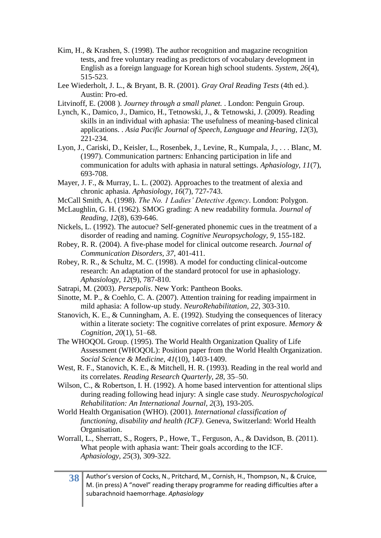- <span id="page-38-18"></span>Kim, H., & Krashen, S. (1998). The author recognition and magazine recognition tests, and free voluntary reading as predictors of vocabulary development in English as a foreign language for Korean high school students. *System, 26*(4), 515-523.
- <span id="page-38-0"></span>Lee Wiederholt, J. L., & Bryant, B. R. (2001). *Gray Oral Reading Tests* (4th ed.). Austin: Pro-ed.
- <span id="page-38-13"></span>Litvinoff, E. (2008 ). *Journey through a small planet.* . London: Penguin Group.
- <span id="page-38-2"></span>Lynch, K., Damico, J., Damico, H., Tetnowski, J., & Tetnowski, J. (2009). Reading skills in an individual with aphasia: The usefulness of meaning-based clinical applications. . *Asia Pacific Journal of Speech, Language and Hearing, 12*(3), 221-234.
- <span id="page-38-12"></span>Lyon, J., Cariski, D., Keisler, L., Rosenbek, J., Levine, R., Kumpala, J., . . . Blanc, M. (1997). Communication partners: Enhancing participation in life and communication for adults with aphasia in natural settings. *Aphasiology, 11*(7), 693-708.
- <span id="page-38-3"></span>Mayer, J. F., & Murray, L. L. (2002). Approaches to the treatment of alexia and chronic aphasia. *Aphasiology, 16*(7), 727-743.
- <span id="page-38-15"></span>McCall Smith, A. (1998). *The No. 1 Ladies' Detective Agency*. London: Polygon.
- <span id="page-38-8"></span>McLaughlin, G. H. (1962). SMOG grading: A new readability formula. *Journal of Reading, 12*(8), 639-646.
- <span id="page-38-1"></span>Nickels, L. (1992). The autocue? Self-generated phonemic cues in the treatment of a disorder of reading and naming. *Cognitive Neuropsychology, 9*, 155-182.
- <span id="page-38-9"></span>Robey, R. R. (2004). A five-phase model for clinical outcome research. *Journal of Communication Disorders, 37*, 401-411.
- <span id="page-38-10"></span>Robey, R. R., & Schultz, M. C. (1998). A model for conducting clinical-outcome research: An adaptation of the standard protocol for use in aphasiology. *Aphasiology, 12*(9), 787-810.
- <span id="page-38-14"></span>Satrapi, M. (2003). *Persepolis*. New York: Pantheon Books.
- <span id="page-38-4"></span>Sinotte, M. P., & Coehlo, C. A. (2007). Attention training for reading impairment in mild aphasia: A follow-up study. *NeuroRehabilitation, 22*, 303-310.
- <span id="page-38-16"></span>Stanovich, K. E., & Cunningham, A. E. (1992). Studying the consequences of literacy within a literate society: The cognitive correlates of print exposure. *Memory & Cognition, 20*(1), 51–68.
- <span id="page-38-11"></span>The WHOQOL Group. (1995). The World Health Organization Quality of Life Assessment (WHOQOL): Position paper from the World Health Organization. *Social Science & Medicine, 41*(10), 1403-1409.
- <span id="page-38-17"></span>West, R. F., Stanovich, K. E., & Mitchell, H. R. (1993). Reading in the real world and its correlates. *Reading Research Quarterly, 28*, 35–50.
- <span id="page-38-5"></span>Wilson, C., & Robertson, I. H. (1992). A home based intervention for attentional slips during reading following head injury: A single case study. *Neurospychological Rehabilitation: An International Journal, 2*(3), 193-205.
- <span id="page-38-6"></span>World Health Organisation (WHO). (2001). *International classification of functioning, disability and health (ICF)*. Geneva, Switzerland: World Health Organisation.
- <span id="page-38-7"></span>Worrall, L., Sherratt, S., Rogers, P., Howe, T., Ferguson, A., & Davidson, B. (2011). What people with aphasia want: Their goals according to the ICF. *Aphasiology, 25*(3), 309-322.
	- **38** Author's version of Cocks, N., Pritchard, M., Cornish, H., Thompson, N., & Cruice, M. (in press) A "novel" reading therapy programme for reading difficulties after a subarachnoid haemorrhage. *Aphasiology*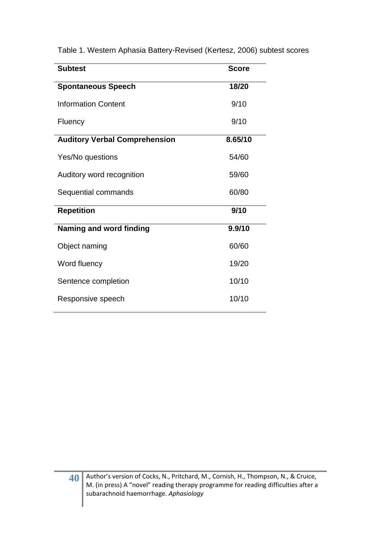| <b>Subtest</b>                       | <b>Score</b> |
|--------------------------------------|--------------|
| <b>Spontaneous Speech</b>            | 18/20        |
| <b>Information Content</b>           | 9/10         |
| Fluency                              | 9/10         |
| <b>Auditory Verbal Comprehension</b> | 8.65/10      |
| Yes/No questions                     | 54/60        |
| Auditory word recognition            | 59/60        |
| Sequential commands                  | 60/80        |
| <b>Repetition</b>                    | 9/10         |
| <b>Naming and word finding</b>       | 9.9/10       |
| Object naming                        | 60/60        |
| Word fluency                         | 19/20        |
| Sentence completion                  | 10/10        |
| Responsive speech                    | 10/10        |

Table 1. Western Aphasia Battery-Revised (Kertesz, 2006) subtest scores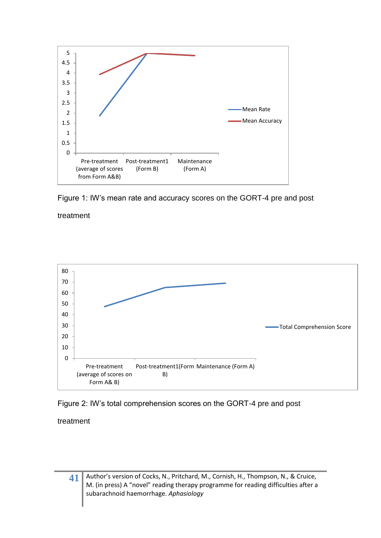



treatment



Figure 2: IW's total comprehension scores on the GORT-4 pre and post

treatment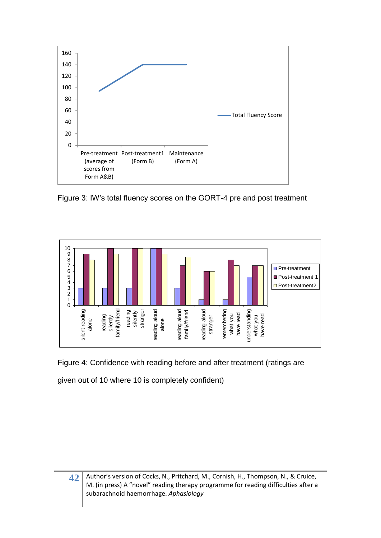

Figure 3: IW's total fluency scores on the GORT-4 pre and post treatment



Figure 4: Confidence with reading before and after treatment (ratings are

given out of 10 where 10 is completely confident)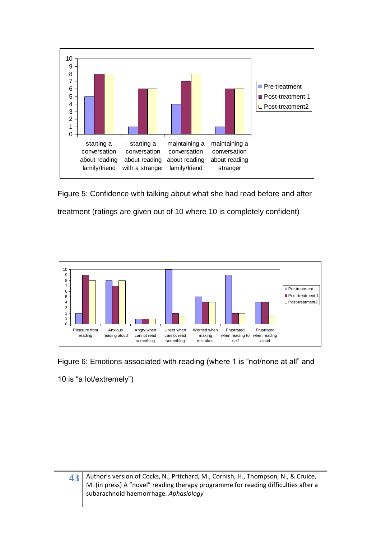

Figure 5: Confidence with talking about what she had read before and after treatment (ratings are given out of 10 where 10 is completely confident)



Figure 6: Emotions associated with reading (where 1 is "not/none at all" and 10 is "a lot/extremely")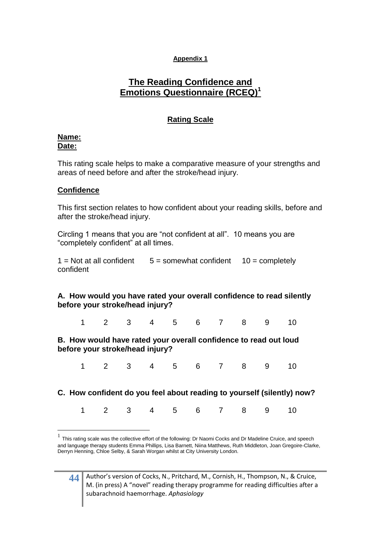## **Appendix 1**

## **The Reading Confidence and Emotions Questionnaire (RCEQ)<sup>1</sup>**

## **Rating Scale**

## **Name: Date:**

This rating scale helps to make a comparative measure of your strengths and areas of need before and after the stroke/head injury.

## **Confidence**

This first section relates to how confident about your reading skills, before and after the stroke/head injury.

Circling 1 means that you are "not confident at all". 10 means you are "completely confident" at all times.

 $1 = Not$  at all confident  $5 = somewhat$  confident  $10 = completely$ confident

## **A. How would you have rated your overall confidence to read silently before your stroke/head injury?**

1 2 3 4 5 6 7 8 9 10

**B. How would have rated your overall confidence to read out loud before your stroke/head injury?**

1 2 3 4 5 6 7 8 9 10

**C. How confident do you feel about reading to yourself (silently) now?**

|  |  |  |  | 1 2 3 4 5 6 7 8 9 10 |  |  |  |  |  |  |
|--|--|--|--|----------------------|--|--|--|--|--|--|
|--|--|--|--|----------------------|--|--|--|--|--|--|

<sup>1</sup> This rating scale was the collective effort of the following: Dr Naomi Cocks and Dr Madeline Cruice, and speech and language therapy students Emma Phillips, Lisa Barnett, Niina Matthews, Ruth Middleton, Joan Gregoire-Clarke, Derryn Henning, Chloe Selby, & Sarah Worgan whilst at City University London.

1

**<sup>44</sup>** Author's version of Cocks, N., Pritchard, M., Cornish, H., Thompson, N., & Cruice, M. (in press) A "novel" reading therapy programme for reading difficulties after a subarachnoid haemorrhage. *Aphasiology*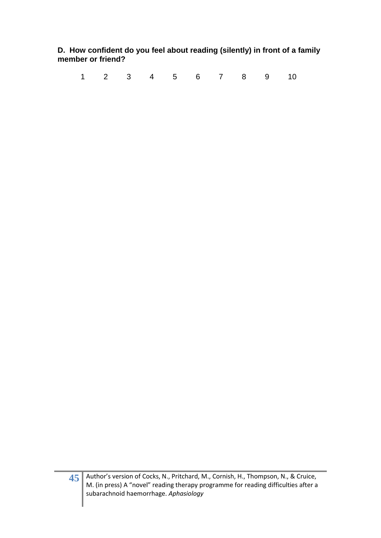**D. How confident do you feel about reading (silently) in front of a family member or friend?**

1 2 3 4 5 6 7 8 9 10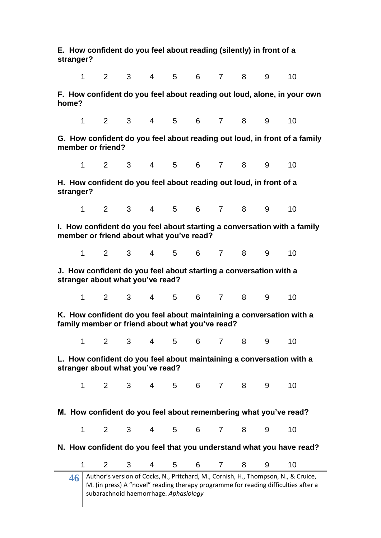**E. How confident do you feel about reading (silently) in front of a stranger?**

1 2 3 4 5 6 7 8 9 10

**F. How confident do you feel about reading out loud, alone, in your own home?**

1 2 3 4 5 6 7 8 9 10

**G. How confident do you feel about reading out loud, in front of a family member or friend?** 

1 2 3 4 5 6 7 8 9 10

**H. How confident do you feel about reading out loud, in front of a stranger?**

1 2 3 4 5 6 7 8 9 10

**I. How confident do you feel about starting a conversation with a family member or friend about what you've read?**

1 2 3 4 5 6 7 8 9 10

**J. How confident do you feel about starting a conversation with a stranger about what you've read?**

1 2 3 4 5 6 7 8 9 10

**K. How confident do you feel about maintaining a conversation with a family member or friend about what you've read?**

1 2 3 4 5 6 7 8 9 10

**L. How confident do you feel about maintaining a conversation with a stranger about what you've read?**

1 2 3 4 5 6 7 8 9 10

**M. How confident do you feel about remembering what you've read?**

1 2 3 4 5 6 7 8 9 10

**N. How confident do you feel that you understand what you have read?**

1 2 3 4 5 6 7 8 9 10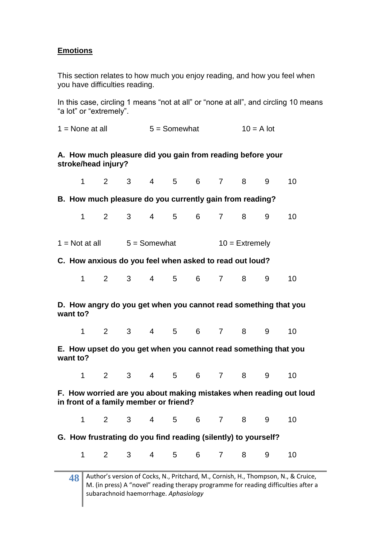## **Emotions**

This section relates to how much you enjoy reading, and how you feel when you have difficulties reading.

In this case, circling 1 means "not at all" or "none at all", and circling 10 means "a lot" or "extremely".

 $1 =$  None at all  $5 =$  Somewhat  $10 =$  A lot

## **A. How much pleasure did you gain from reading before your stroke/head injury?**

| $\mathbf{1}$                                                                                                 | 2            | 3 <sup>1</sup> | $\overline{4}$ | 5           | 6             | $\overline{7}$ | 8                | 9 | 10                                                              |  |
|--------------------------------------------------------------------------------------------------------------|--------------|----------------|----------------|-------------|---------------|----------------|------------------|---|-----------------------------------------------------------------|--|
| B. How much pleasure do you currently gain from reading?                                                     |              |                |                |             |               |                |                  |   |                                                                 |  |
| 1                                                                                                            | $\mathbf{2}$ | $3^{\circ}$    | $4 \quad$      | $5^{\circ}$ | 6             | $\overline{7}$ | 8                | 9 | 10                                                              |  |
| $1 = Not at all$                                                                                             |              | $5 =$ Somewhat |                |             |               |                | $10 =$ Extremely |   |                                                                 |  |
| C. How anxious do you feel when asked to read out loud?                                                      |              |                |                |             |               |                |                  |   |                                                                 |  |
| 1                                                                                                            | $2^{\circ}$  | $3^{\circ}$    | $4 \quad$      |             | $5\qquad 6$   | 7              | 8                | 9 | 10                                                              |  |
| D. How angry do you get when you cannot read something that you<br>want to?                                  |              |                |                |             |               |                |                  |   |                                                                 |  |
| 1                                                                                                            |              |                |                |             | 2 3 4 5 6 7 8 |                |                  | 9 | 10                                                              |  |
| want to?                                                                                                     |              |                |                |             |               |                |                  |   | E. How upset do you get when you cannot read something that you |  |
| 1                                                                                                            | $2^{\circ}$  |                |                |             | 3 4 5 6 7 8   |                |                  | 9 | 10                                                              |  |
| F. How worried are you about making mistakes when reading out loud<br>in front of a family member or friend? |              |                |                |             |               |                |                  |   |                                                                 |  |
| $\mathbf{1}$                                                                                                 | $2^{\circ}$  | $3^{\circ}$    | $4 \quad$      | $5^{\circ}$ | $6 \qquad$    | $7 \quad$      | 8                | 9 | 10                                                              |  |
| G. How frustrating do you find reading (silently) to yourself?                                               |              |                |                |             |               |                |                  |   |                                                                 |  |
| 1                                                                                                            | $2^{\circ}$  | 3 <sup>7</sup> | 4              | $5^{\circ}$ | $6 -$         | $\overline{7}$ | 8                | 9 | 10                                                              |  |